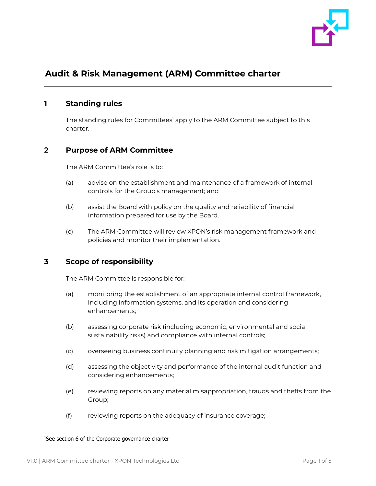

# **Audit & Risk Management (ARM) Committee charter**

#### **1 Standing rules**

The standing rules for Committees' apply to the ARM Committee subject to this charter.

## **2 Purpose of ARM Committee**

The ARM Committee's role is to:

- (a) advise on the establishment and maintenance of a framework of internal controls for the Group's management; and
- (b) assist the Board with policy on the quality and reliability of financial information prepared for use by the Board.
- (c) The ARM Committee will review XPON's risk management framework and policies and monitor their implementation.

## **3 Scope of responsibility**

The ARM Committee is responsible for:

- (a) monitoring the establishment of an appropriate internal control framework, including information systems, and its operation and considering enhancements;
- (b) assessing corporate risk (including economic, environmental and social sustainability risks) and compliance with internal controls;
- (c) overseeing business continuity planning and risk mitigation arrangements;
- (d) assessing the objectivity and performance of the internal audit function and considering enhancements;
- (e) reviewing reports on any material misappropriation, frauds and thefts from the Group;
- (f) reviewing reports on the adequacy of insurance coverage;

<sup>&</sup>lt;sup>1</sup>See section 6 of the Corporate governance charter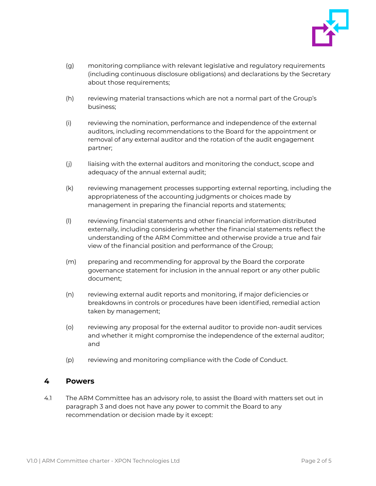

- (g) monitoring compliance with relevant legislative and regulatory requirements (including continuous disclosure obligations) and declarations by the Secretary about those requirements;
- (h) reviewing material transactions which are not a normal part of the Group's business;
- (i) reviewing the nomination, performance and independence of the external auditors, including recommendations to the Board for the appointment or removal of any external auditor and the rotation of the audit engagement partner;
- (j) liaising with the external auditors and monitoring the conduct, scope and adequacy of the annual external audit;
- (k) reviewing management processes supporting external reporting, including the appropriateness of the accounting judgments or choices made by management in preparing the financial reports and statements;
- (l) reviewing financial statements and other financial information distributed externally, including considering whether the financial statements reflect the understanding of the ARM Committee and otherwise provide a true and fair view of the financial position and performance of the Group;
- (m) preparing and recommending for approval by the Board the corporate governance statement for inclusion in the annual report or any other public document;
- (n) reviewing external audit reports and monitoring, if major deficiencies or breakdowns in controls or procedures have been identified, remedial action taken by management;
- (o) reviewing any proposal for the external auditor to provide non-audit services and whether it might compromise the independence of the external auditor; and
- (p) reviewing and monitoring compliance with the Code of Conduct.

#### **4 Powers**

4.1 The ARM Committee has an advisory role, to assist the Board with matters set out in paragraph 3 and does not have any power to commit the Board to any recommendation or decision made by it except: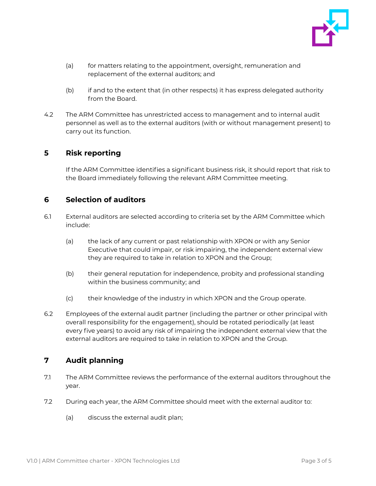

- (a) for matters relating to the appointment, oversight, remuneration and replacement of the external auditors; and
- (b) if and to the extent that (in other respects) it has express delegated authority from the Board.
- 4.2 The ARM Committee has unrestricted access to management and to internal audit personnel as well as to the external auditors (with or without management present) to carry out its function.

## **5 Risk reporting**

If the ARM Committee identifies a significant business risk, it should report that risk to the Board immediately following the relevant ARM Committee meeting.

## **6 Selection of auditors**

- 6.1 External auditors are selected according to criteria set by the ARM Committee which include:
	- (a) the lack of any current or past relationship with XPON or with any Senior Executive that could impair, or risk impairing, the independent external view they are required to take in relation to XPON and the Group;
	- (b) their general reputation for independence, probity and professional standing within the business community; and
	- (c) their knowledge of the industry in which XPON and the Group operate.
- 6.2 Employees of the external audit partner (including the partner or other principal with overall responsibility for the engagement), should be rotated periodically (at least every five years) to avoid any risk of impairing the independent external view that the external auditors are required to take in relation to XPON and the Group.

## **7 Audit planning**

- 7.1 The ARM Committee reviews the performance of the external auditors throughout the year.
- 7.2 During each year, the ARM Committee should meet with the external auditor to:
	- (a) discuss the external audit plan;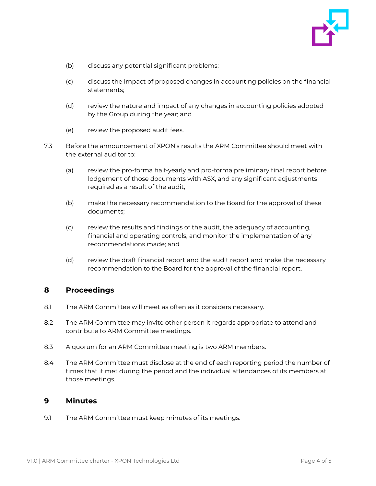

- (b) discuss any potential significant problems;
- (c) discuss the impact of proposed changes in accounting policies on the financial statements;
- (d) review the nature and impact of any changes in accounting policies adopted by the Group during the year; and
- (e) review the proposed audit fees.
- 7.3 Before the announcement of XPON's results the ARM Committee should meet with the external auditor to:
	- (a) review the pro-forma half-yearly and pro-forma preliminary final report before lodgement of those documents with ASX, and any significant adjustments required as a result of the audit;
	- (b) make the necessary recommendation to the Board for the approval of these documents;
	- (c) review the results and findings of the audit, the adequacy of accounting, financial and operating controls, and monitor the implementation of any recommendations made; and
	- (d) review the draft financial report and the audit report and make the necessary recommendation to the Board for the approval of the financial report.

## **8 Proceedings**

- 8.1 The ARM Committee will meet as often as it considers necessary.
- 8.2 The ARM Committee may invite other person it regards appropriate to attend and contribute to ARM Committee meetings.
- 8.3 A quorum for an ARM Committee meeting is two ARM members.
- 8.4 The ARM Committee must disclose at the end of each reporting period the number of times that it met during the period and the individual attendances of its members at those meetings.

#### **9 Minutes**

9.1 The ARM Committee must keep minutes of its meetings.